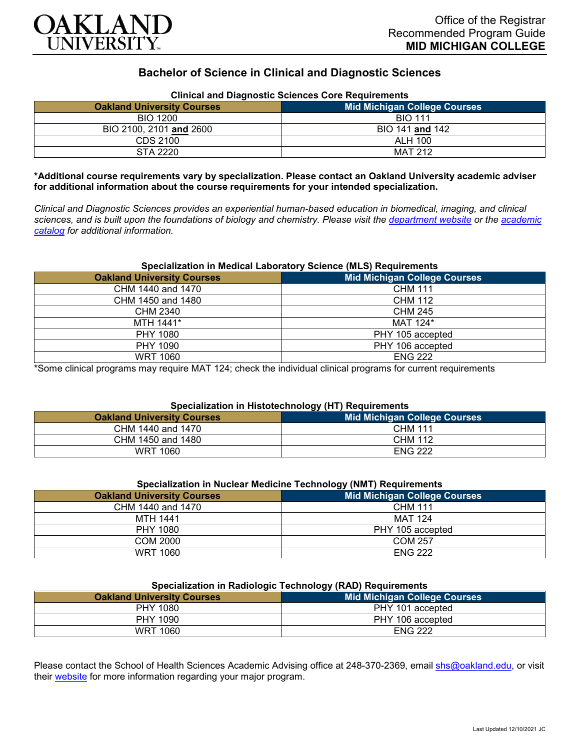

## **Bachelor of Science in Clinical and Diagnostic Sciences**

| Clinical and Diagnostic Sciences Core Requirements |                              |  |
|----------------------------------------------------|------------------------------|--|
| <b>Oakland University Courses</b>                  | Mid Michigan College Courses |  |
| <b>BIO 1200</b>                                    | <b>BIO 111</b>               |  |
| BIO 2100, 2101 and 2600                            | BIO 141 and 142              |  |
| CDS 2100                                           | ALH 100                      |  |
| STA 2220                                           | <b>MAT 212</b>               |  |

**Clinical and Diagnostic Sciences Core Requirements**

**\*Additional course requirements vary by specialization. Please contact an Oakland University academic adviser for additional information about the course requirements for your intended specialization.**

*Clinical and Diagnostic Sciences provides an experiential human-based education in biomedical, imaging, and clinical sciences, and is built upon the foundations of biology and chemistry. Please visit the [department website](https://www.oakland.edu/shs/clinical-and-diagnostic-sciences/) or the [academic](http://catalog.oakland.edu/preview_program.php?catoid=53&poid=8663)  [catalog](http://catalog.oakland.edu/preview_program.php?catoid=53&poid=8663) for additional information.*

#### **Specialization in Medical Laboratory Science (MLS) Requirements**

| <b>Oakland University Courses</b> | <b>Mid Michigan College Courses</b> |
|-----------------------------------|-------------------------------------|
| CHM 1440 and 1470                 | <b>CHM 111</b>                      |
| CHM 1450 and 1480                 | <b>CHM 112</b>                      |
| <b>CHM 2340</b>                   | CHM 245                             |
| MTH 1441*                         | MAT 124*                            |
| PHY 1080                          | PHY 105 accepted                    |
| PHY 1090                          | PHY 106 accepted                    |
| <b>WRT 1060</b>                   | <b>ENG 222</b>                      |

\*Some clinical programs may require MAT 124; check the individual clinical programs for current requirements

## **Specialization in Histotechnology (HT) Requirements**

|                                   | . |                              |
|-----------------------------------|---|------------------------------|
| <b>Oakland University Courses</b> |   | Mid Michigan College Courses |
| CHM 1440 and 1470                 |   | <b>CHM 111</b>               |
| CHM 1450 and 1480                 |   | <b>CHM 112</b>               |
| <b>WRT 1060</b>                   |   | <b>ENG 222</b>               |

#### **Specialization in Nuclear Medicine Technology (NMT) Requirements**

|                                   | .                                   |
|-----------------------------------|-------------------------------------|
| <b>Oakland University Courses</b> | <b>Mid Michigan College Courses</b> |
| CHM 1440 and 1470                 | <b>CHM 111</b>                      |
| MTH 1441                          | <b>MAT 124</b>                      |
| PHY 1080                          | PHY 105 accepted                    |
| COM 2000                          | <b>COM 257</b>                      |
| <b>WRT 1060</b>                   | <b>ENG 222</b>                      |

#### **Specialization in Radiologic Technology (RAD) Requirements**

| <u>-promonent in name region commency presence productions</u> |                              |
|----------------------------------------------------------------|------------------------------|
| <b>Oakland University Courses</b>                              | Mid Michigan College Courses |
| PHY 1080                                                       | PHY 101 accepted             |
| PHY 1090                                                       | PHY 106 accepted             |
| <b>WRT 1060</b>                                                | <b>ENG 222</b>               |

Please contact the School of Health Sciences Academic Advising office at 248-370-2369, email [shs@oakland.edu,](mailto:shs@oakland.edu) or visit their [website](http://www.oakland.edu/shs/advising) for more information regarding your major program.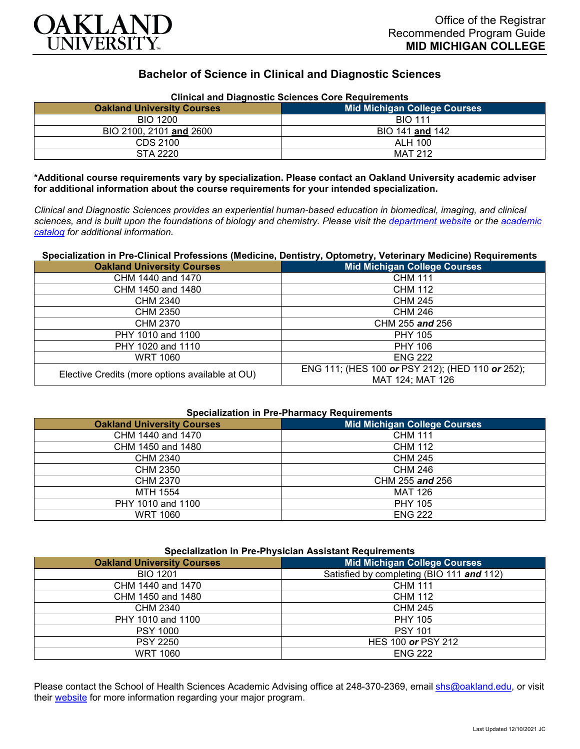

# **Bachelor of Science in Clinical and Diagnostic Sciences**

| <b>Clinical and Diagnostic Sciences Core Requirements</b> |                                     |  |
|-----------------------------------------------------------|-------------------------------------|--|
| <b>Oakland University Courses</b>                         | <b>Mid Michigan College Courses</b> |  |
| <b>BIO 1200</b>                                           | <b>BIO 111</b>                      |  |
| BIO 2100, 2101 and 2600                                   | BIO 141 and 142                     |  |
| CDS 2100                                                  | ALH 100                             |  |
| STA 2220                                                  | <b>MAT 212</b>                      |  |

**\*Additional course requirements vary by specialization. Please contact an Oakland University academic adviser for additional information about the course requirements for your intended specialization.**

*Clinical and Diagnostic Sciences provides an experiential human-based education in biomedical, imaging, and clinical sciences, and is built upon the foundations of biology and chemistry. Please visit the [department website](https://www.oakland.edu/shs/clinical-and-diagnostic-sciences/) or the [academic](http://catalog.oakland.edu/preview_program.php?catoid=53&poid=8663)  [catalog](http://catalog.oakland.edu/preview_program.php?catoid=53&poid=8663) for additional information.*

## **Specialization in Pre-Clinical Professions (Medicine, Dentistry, Optometry, Veterinary Medicine) Requirements**

| <b>Oakland University Courses</b>               | <b>Mid Michigan College Courses</b>                                  |
|-------------------------------------------------|----------------------------------------------------------------------|
| CHM 1440 and 1470                               | <b>CHM 111</b>                                                       |
| CHM 1450 and 1480                               | <b>CHM 112</b>                                                       |
| CHM 2340                                        | <b>CHM 245</b>                                                       |
| CHM 2350                                        | CHM 246                                                              |
| CHM 2370                                        | CHM 255 and 256                                                      |
| PHY 1010 and 1100                               | <b>PHY 105</b>                                                       |
| PHY 1020 and 1110                               | <b>PHY 106</b>                                                       |
| <b>WRT 1060</b>                                 | <b>ENG 222</b>                                                       |
| Elective Credits (more options available at OU) | ENG 111; (HES 100 or PSY 212); (HED 110 or 252);<br>MAT 124; MAT 126 |

## **Specialization in Pre-Pharmacy Requirements**

| <b>Oakland University Courses</b> | <b>Mid Michigan College Courses</b> |
|-----------------------------------|-------------------------------------|
| CHM 1440 and 1470                 | <b>CHM 111</b>                      |
| CHM 1450 and 1480                 | <b>CHM 112</b>                      |
| CHM 2340                          | <b>CHM 245</b>                      |
| <b>CHM 2350</b>                   | <b>CHM 246</b>                      |
| <b>CHM 2370</b>                   | CHM 255 and 256                     |
| MTH 1554                          | <b>MAT 126</b>                      |
| PHY 1010 and 1100                 | <b>PHY 105</b>                      |
| <b>WRT 1060</b>                   | <b>ENG 222</b>                      |

| <b>Specialization in Pre-Physician Assistant Requirements</b> |                                           |  |
|---------------------------------------------------------------|-------------------------------------------|--|
| <b>Oakland University Courses</b>                             | <b>Mid Michigan College Courses</b>       |  |
| <b>BIO 1201</b>                                               | Satisfied by completing (BIO 111 and 112) |  |
| CHM 1440 and 1470                                             | <b>CHM 111</b>                            |  |
| CHM 1450 and 1480                                             | <b>CHM 112</b>                            |  |
| CHM 2340                                                      | <b>CHM 245</b>                            |  |
| PHY 1010 and 1100                                             | <b>PHY 105</b>                            |  |
| <b>PSY 1000</b>                                               | <b>PSY 101</b>                            |  |
| <b>PSY 2250</b>                                               | HES 100 or PSY 212                        |  |
| <b>WRT 1060</b>                                               | <b>ENG 222</b>                            |  |

Please contact the School of Health Sciences Academic Advising office at 248-370-2369, email [shs@oakland.edu,](mailto:shs@oakland.edu) or visit their [website](http://www.oakland.edu/shs/advising) for more information regarding your major program.